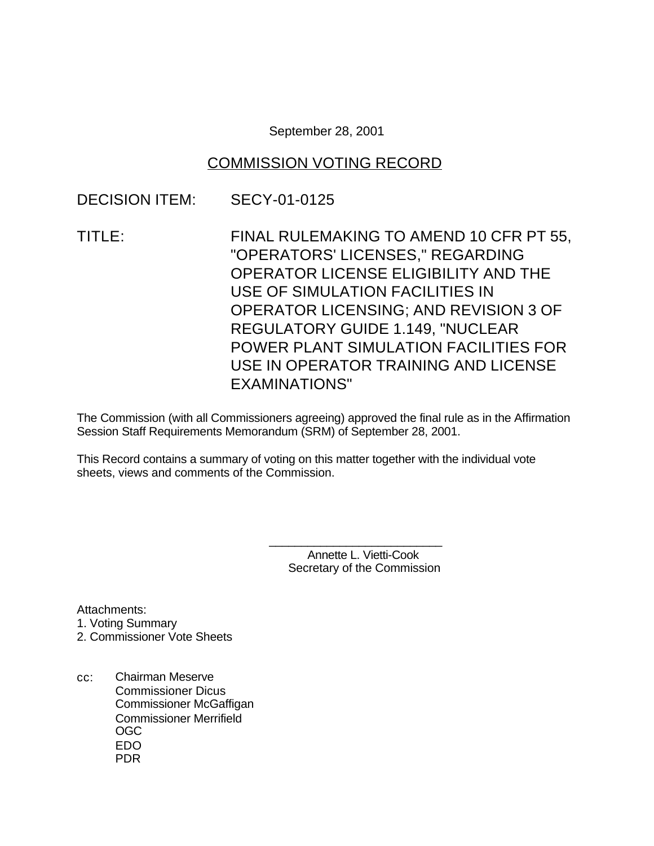September 28, 2001

# COMMISSION VOTING RECORD

## DECISION ITEM: SECY-01-0125

TITLE: FINAL RULEMAKING TO AMEND 10 CFR PT 55, "OPERATORS' LICENSES," REGARDING OPERATOR LICENSE ELIGIBILITY AND THE USE OF SIMULATION FACILITIES IN OPERATOR LICENSING; AND REVISION 3 OF REGULATORY GUIDE 1.149, "NUCLEAR POWER PLANT SIMULATION FACILITIES FOR USE IN OPERATOR TRAINING AND LICENSE EXAMINATIONS"

The Commission (with all Commissioners agreeing) approved the final rule as in the Affirmation Session Staff Requirements Memorandum (SRM) of September 28, 2001.

This Record contains a summary of voting on this matter together with the individual vote sheets, views and comments of the Commission.

> \_\_\_\_\_\_\_\_\_\_\_\_\_\_\_\_\_\_\_\_\_\_\_\_\_\_\_ Annette L. Vietti-Cook Secretary of the Commission

Attachments: 1. Voting Summary 2. Commissioner Vote Sheets

cc: Chairman Meserve Commissioner Dicus Commissioner McGaffigan Commissioner Merrifield OGC EDO PDR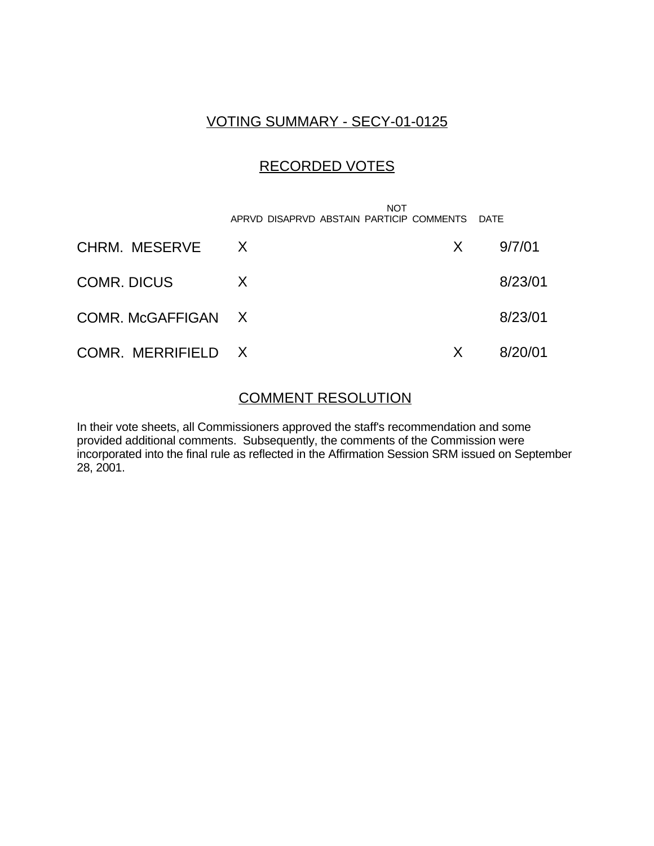## VOTING SUMMARY - SECY-01-0125

# RECORDED VOTES

 NOT APRVD DISAPRVD ABSTAIN PARTICIP COMMENTS DATE CHRM. MESERVE X X 9/7/01 COMR. DICUS X 8/23/01 COMR. McGAFFIGAN X 8/23/01 COMR. MERRIFIELD X X 8/20/01

## COMMENT RESOLUTION

In their vote sheets, all Commissioners approved the staff's recommendation and some provided additional comments. Subsequently, the comments of the Commission were incorporated into the final rule as reflected in the Affirmation Session SRM issued on September 28, 2001.